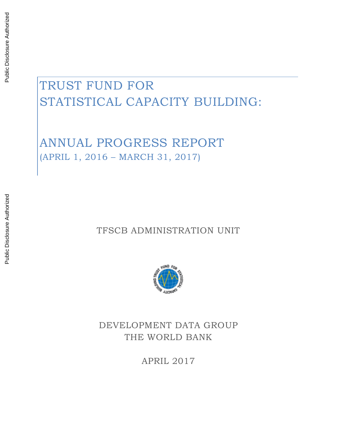# Public Disclosure Authorized Public Disclosure Authorized

# TRUST FUND FOR STATISTICAL CAPACITY BUILDING:

ANNUAL PROGRESS REPORT (APRIL 1, 2016 – MARCH 31, 2017)

TFSCB ADMINISTRATION UNIT



DEVELOPMENT DATA GROUP THE WORLD BANK

APRIL 2017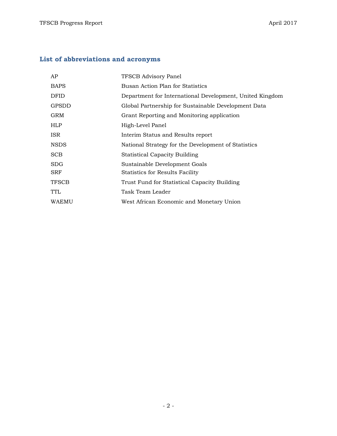# **List of abbreviations and acronyms**

| AP           | <b>TFSCB Advisory Panel</b>                              |
|--------------|----------------------------------------------------------|
| <b>BAPS</b>  | Busan Action Plan for Statistics                         |
| <b>DFID</b>  | Department for International Development, United Kingdom |
| <b>GPSDD</b> | Global Partnership for Sustainable Development Data      |
| GRM          | Grant Reporting and Monitoring application               |
| <b>HLP</b>   | High-Level Panel                                         |
| ISR.         | Interim Status and Results report                        |
| <b>NSDS</b>  | National Strategy for the Development of Statistics      |
| <b>SCB</b>   | <b>Statistical Capacity Building</b>                     |
| <b>SDG</b>   | Sustainable Development Goals                            |
| <b>SRF</b>   | Statistics for Results Facility                          |
| <b>TFSCB</b> | Trust Fund for Statistical Capacity Building             |
| <b>TTL</b>   | Task Team Leader                                         |
| WAEMU        | West African Economic and Monetary Union                 |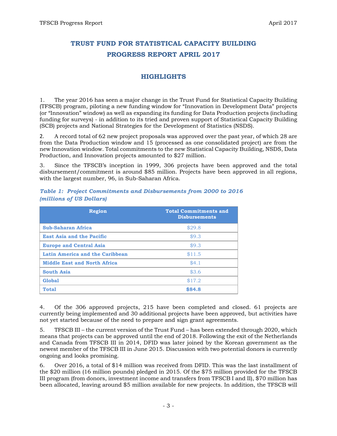# **TRUST FUND FOR STATISTICAL CAPACITY BUILDING PROGRESS REPORT APRIL 2017**

#### **HIGHLIGHTS**

1. The year 2016 has seen a major change in the Trust Fund for Statistical Capacity Building (TFSCB) program, piloting a new funding window for "Innovation in Development Data" projects (or "Innovation" window) as well as expanding its funding for Data Production projects (including funding for surveys) - in addition to its tried and proven support of Statistical Capacity Building (SCB) projects and National Strategies for the Development of Statistics (NSDS).

2. A record total of 62 new project proposals was approved over the past year, of which 28 are from the Data Production window and 15 (processed as one consolidated project) are from the new Innovation window. Total commitments to the new Statistical Capacity Building, NSDS, Data Production, and Innovation projects amounted to \$27 million.

3. Since the TFSCB's inception in 1999, 306 projects have been approved and the total disbursement/commitment is around \$85 million. Projects have been approved in all regions, with the largest number, 96, in Sub-Saharan Africa.

| <b>Region</b>                       | <b>Total Commitments and</b><br><b>Disbursements</b> |
|-------------------------------------|------------------------------------------------------|
| <b>Sub-Saharan Africa</b>           | \$29.8                                               |
| <b>East Asia and the Pacific</b>    | \$9.3                                                |
| <b>Europe and Central Asia</b>      | \$9.3                                                |
| Latin America and the Caribbean     | \$11.5                                               |
| <b>Middle East and North Africa</b> | \$4.1                                                |
| <b>South Asia</b>                   | \$3.6                                                |
| <b>Global</b>                       | \$17.2                                               |
| <b>Total</b>                        | \$84.8                                               |

*Table 1: Project Commitments and Disbursements from 2000 to 2016 (millions of US Dollars)*

4. Of the 306 approved projects, 215 have been completed and closed. 61 projects are currently being implemented and 30 additional projects have been approved, but activities have not yet started because of the need to prepare and sign grant agreements.

5. TFSCB III – the current version of the Trust Fund – has been extended through 2020, which means that projects can be approved until the end of 2018. Following the exit of the Netherlands and Canada from TFSCB III in 2014, DFID was later joined by the Korean government as the newest member of the TFSCB III in June 2015. Discussion with two potential donors is currently ongoing and looks promising.

6. Over 2016, a total of \$14 million was received from DFID. This was the last installment of the \$20 million (16 million pounds) pledged in 2015. Of the \$75 million provided for the TFSCB III program (from donors, investment income and transfers from TFSCB I and II), \$70 million has been allocated, leaving around \$5 million available for new projects. In addition, the TFSCB will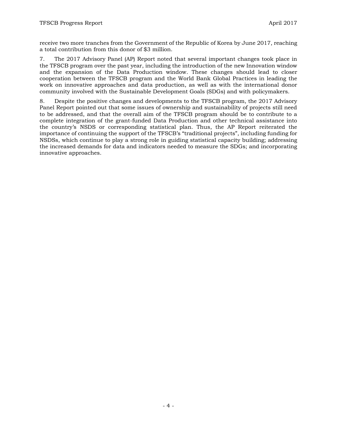receive two more tranches from the Government of the Republic of Korea by June 2017, reaching a total contribution from this donor of \$3 million.

7. The 2017 Advisory Panel (AP) Report noted that several important changes took place in the TFSCB program over the past year, including the introduction of the new Innovation window and the expansion of the Data Production window. These changes should lead to closer cooperation between the TFSCB program and the World Bank Global Practices in leading the work on innovative approaches and data production, as well as with the international donor community involved with the Sustainable Development Goals (SDGs) and with policymakers.

8. Despite the positive changes and developments to the TFSCB program, the 2017 Advisory Panel Report pointed out that some issues of ownership and sustainability of projects still need to be addressed, and that the overall aim of the TFSCB program should be to contribute to a complete integration of the grant-funded Data Production and other technical assistance into the country's NSDS or corresponding statistical plan. Thus, the AP Report reiterated the importance of continuing the support of the TFSCB's "traditional projects", including funding for NSDSs, which continue to play a strong role in guiding statistical capacity building; addressing the increased demands for data and indicators needed to measure the SDGs; and incorporating innovative approaches.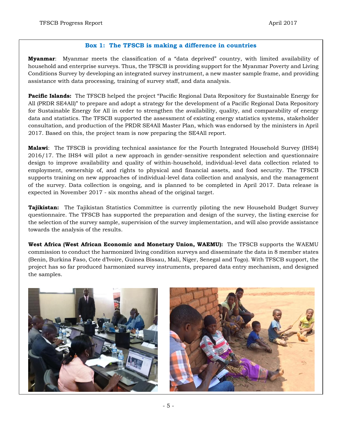#### **Box 1: The TFSCB is making a difference in countries**

**Myanmar**: Myanmar meets the classification of a "data deprived" country, with limited availability of household and enterprise surveys. Thus, the TFSCB is providing support for the Myanmar Poverty and Living Conditions Survey by developing an integrated survey instrument, a new master sample frame, and providing assistance with data processing, training of survey staff, and data analysis.

**Pacific Islands:** The TFSCB helped the project "Pacific Regional Data Repository for Sustainable Energy for All (PRDR SE4All)" to prepare and adopt a strategy for the development of a Pacific Regional Data Repository for Sustainable Energy for All in order to strengthen the availability, quality, and comparability of energy data and statistics. The TFSCB supported the assessment of existing energy statistics systems, stakeholder consultation, and production of the PRDR SE4All Master Plan, which was endorsed by the ministers in April 2017. Based on this, the project team is now preparing the SE4All report.

**Malawi**: The TFSCB is providing technical assistance for the Fourth Integrated Household Survey (IHS4) 2016/17. The IHS4 will pilot a new approach in gender-sensitive respondent selection and questionnaire design to improve availability and quality of within-household, individual-level data collection related to employment, ownership of, and rights to physical and financial assets, and food security. The TFSCB supports training on new approaches of individual-level data collection and analysis, and the management of the survey. Data collection is ongoing, and is planned to be completed in April 2017. Data release is expected in November 2017 - six months ahead of the original target.

**Tajikistan:** The Tajikistan Statistics Committee is currently piloting the new Household Budget Survey questionnaire. The TFSCB has supported the preparation and design of the survey, the listing exercise for the selection of the survey sample, supervision of the survey implementation, and will also provide assistance towards the analysis of the results.

**West Africa (West African Economic and Monetary Union, WAEMU):** The TFSCB supports the WAEMU commission to conduct the harmonized living condition surveys and disseminate the data in 8 member states (Benin, Burkina Faso, Cote d'Ivoire, Guinea Bissau, Mali, Niger, Senegal and Togo). With TFSCB support, the project has so far produced harmonized survey instruments, prepared data entry mechanism, and designed the samples.

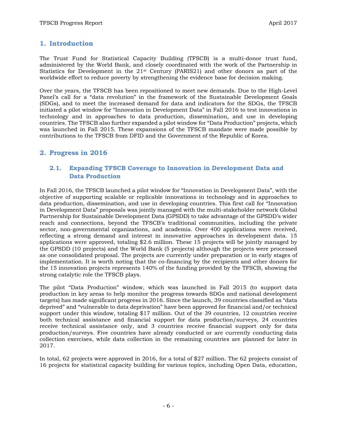#### **1. Introduction**

The Trust Fund for Statistical Capacity Building (TFSCB) is a multi-donor trust fund, administered by the World Bank, and closely coordinated with the work of the Partnership in Statistics for Development in the  $21<sup>st</sup>$  Century (PARIS21) and other donors as part of the worldwide effort to reduce poverty by strengthening the evidence base for decision making.

Over the years, the TFSCB has been repositioned to meet new demands. Due to the High-Level Panel's call for a "data revolution" in the framework of the Sustainable Development Goals (SDGs), and to meet the increased demand for data and indicators for the SDGs, the TFSCB initiated a pilot window for "Innovation in Development Data" in Fall 2016 to test innovations in technology and in approaches to data production, dissemination, and use in developing countries. The TFSCB also further expanded a pilot window for "Data Production" projects, which was launched in Fall 2015. These expansions of the TFSCB mandate were made possible by contributions to the TFSCB from DFID and the Government of the Republic of Korea.

#### **2. Progress in 2016**

#### **2.1. Expanding TFSCB Coverage to Innovation in Development Data and Data Production**

In Fall 2016, the TFSCB launched a pilot window for "Innovation in Development Data", with the objective of supporting scalable or replicable innovations in technology and in approaches to data production, dissemination, and use in developing countries. This first call for "Innovation in Development Data" proposals was jointly managed with the multi-stakeholder network Global Partnership for Sustainable Development Data (GPSDD) to take advantage of the GPSDD's wider reach and connections, beyond the TFSCB's traditional communities, including the private sector, non-governmental organizations, and academia. Over 400 applications were received, reflecting a strong demand and interest in innovative approaches in development data. 15 applications were approved, totaling \$2.6 million. These 15 projects will be jointly managed by the GPSDD (10 projects) and the World Bank (5 projects) although the projects were processed as one consolidated proposal. The projects are currently under preparation or in early stages of implementation. It is worth noting that the co-financing by the recipients and other donors for the 15 innovation projects represents 140% of the funding provided by the TFSCB, showing the strong catalytic role the TFSCB plays.

The pilot "Data Production" window, which was launched in Fall 2015 (to support data production in key areas to help monitor the progress towards SDGs and national development targets) has made significant progress in 2016. Since the launch, 39 countries classified as "data deprived" and "vulnerable to data deprivation" have been approved for financial and/or technical support under this window, totaling \$17 million. Out of the 39 countries, 12 countries receive both technical assistance and financial support for data production/surveys, 24 countries receive technical assistance only, and 3 countries receive financial support only for data production/surveys. Five countries have already conducted or are currently conducting data collection exercises, while data collection in the remaining countries are planned for later in 2017.

In total, 62 projects were approved in 2016, for a total of \$27 million. The 62 projects consist of 16 projects for statistical capacity building for various topics, including Open Data, education,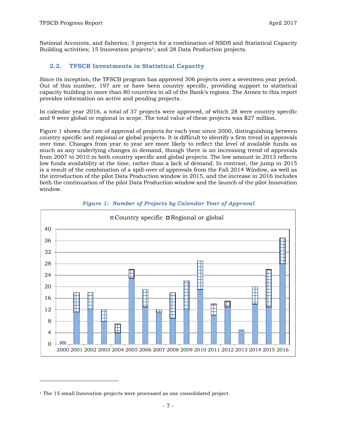National Accounts, and fisheries; 3 projects for a combination of NSDS and Statistical Capacity Building activities: 15 Innovation projects<sup>1</sup>; and 28 Data Production projects.

#### **2.2. TFSCB Investments in Statistical Capacity**

Since its inception, the TFSCB program has approved 306 projects over a seventeen year period. Out of this number, 197 are or have been country specific, providing support to statistical capacity building in more than 80 countries in all of the Bank's regions. The Annex to this report provides information on active and pending projects.

In calendar year 2016, a total of 37 projects were approved, of which 28 were country specific and 9 were global or regional in scope. The total value of these projects was \$27 million.

Figure 1 shows the rate of approval of projects for each year since 2000, distinguishing between country specific and regional or global projects. It is difficult to identify a firm trend in approvals over time. Changes from year to year are more likely to reflect the level of available funds as much as any underlying changes in demand, though there is an increasing trend of approvals from 2007 to 2010 in both country specific and global projects. The low amount in 2013 reflects low funds availability at the time, rather than a lack of demand. In contrast, the jump in 2015 is a result of the combination of a spill-over of approvals from the Fall 2014 Window, as well as the introduction of the pilot Data Production window in 2015, and the increase in 2016 includes both the continuation of the pilot Data Production window and the launch of the pilot Innovation window.





 $\overline{\phantom{a}}$ 

<sup>&</sup>lt;sup>1</sup> The 15 small Innovation projects were processed as one consolidated project.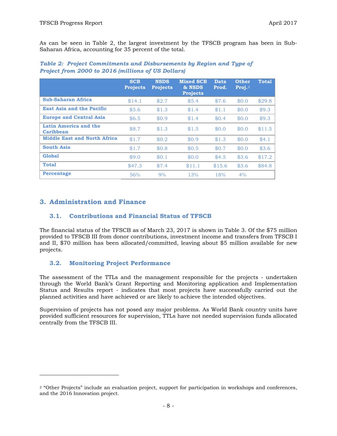As can be seen in Table 2, the largest investment by the TFSCB program has been in Sub-Saharan Africa, accounting for 35 percent of the total.

|                                     | <b>SCB</b><br><b>Projects</b> | <b>NSDS</b><br><b>Projects</b> | <b>Mixed SCB</b><br>& NSDS<br><b>Projects</b> | Data<br>Prod. | <b>Other</b><br>Proj. $2$ | <b>Total</b> |
|-------------------------------------|-------------------------------|--------------------------------|-----------------------------------------------|---------------|---------------------------|--------------|
| Sub-Saharan Africa                  | \$14.1                        | \$2.7                          | \$5.4                                         | \$7.6         | \$0.0                     | \$29.8       |
| <b>East Asia and the Pacific</b>    | \$5.6                         | \$1.3                          | \$1.4                                         | \$1.1         | \$0.0                     | \$9.3        |
| <b>Europe and Central Asia</b>      | \$6.5                         | \$0.9                          | \$1.4                                         | \$0.4         | \$0.0                     | \$9.3        |
| Latin America and the<br>Caribbean  | \$8.7                         | \$1.3                          | \$1.5                                         | \$0.0         | \$0.0                     | \$11.5       |
| <b>Middle East and North Africa</b> | \$1.7                         | \$0.2\$                        | \$0.9                                         | \$1.3         | \$0.0                     | \$4.1        |
| <b>South Asia</b>                   | \$1.7                         | \$0.8                          | \$0.5                                         | \$0.7         | \$0.0                     | \$3.6        |
| Global                              | \$9.0                         | \$0.1                          | \$0.0                                         | \$4.5         | \$3.6                     | \$17.2       |
| <b>Total</b>                        | \$47.3                        | \$7.4                          | \$11.1                                        | \$15.6        | \$3.6                     | \$84.8       |
| <b>Percentage</b>                   | 56%                           | 9%                             | 13%                                           | 18%           | 4%                        |              |

*Table 2: Project Commitments and Disbursements by Region and Type of Project from 2000 to 2016 (millions of US Dollars)*

#### **3. Administration and Finance**

 $\overline{a}$ 

#### **3.1. Contributions and Financial Status of TFSCB**

The financial status of the TFSCB as of March 23, 2017 is shown in Table 3. Of the \$75 million provided to TFSCB III from donor contributions, investment income and transfers from TFSCB I and II, \$70 million has been allocated/committed, leaving about \$5 million available for new projects.

#### **3.2. Monitoring Project Performance**

The assessment of the TTLs and the management responsible for the projects - undertaken through the World Bank's Grant Reporting and Monitoring application and Implementation Status and Results report - indicates that most projects have successfully carried out the planned activities and have achieved or are likely to achieve the intended objectives.

Supervision of projects has not posed any major problems. As World Bank country units have provided sufficient resources for supervision, TTLs have not needed supervision funds allocated centrally from the TFSCB III.

<sup>&</sup>lt;sup>2</sup> "Other Projects" include an evaluation project, support for participation in workshops and conferences, and the 2016 Innovation project.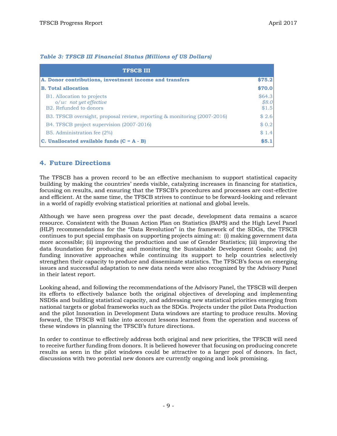| <b>TFSCB III</b>                                                                                      |                          |
|-------------------------------------------------------------------------------------------------------|--------------------------|
| A. Donor contributions, investment income and transfers                                               | \$75.2                   |
| <b>B.</b> Total allocation                                                                            | \$70.0                   |
| <b>B1.</b> Allocation to projects<br>$o/w$ : not yet effective<br>B <sub>2</sub> . Refunded to donors | \$64.3<br>\$8.0<br>\$1.5 |
| B3. TFSCB oversight, proposal review, reporting & monitoring (2007-2016)                              | \$2.6                    |
| B4. TFSCB project supervision (2007-2016)                                                             | \$0.2]                   |
| B5. Administration fee (2%)                                                                           | \$1.4                    |
| $ C.$ Unallocated available funds $(C = A - B)$                                                       | \$5.1                    |

#### *Table 3: TFSCB III Financial Status (Millions of US Dollars)*

#### **4. Future Directions**

The TFSCB has a proven record to be an effective mechanism to support statistical capacity building by making the countries' needs visible, catalyzing increases in financing for statistics, focusing on results, and ensuring that the TFSCB's procedures and processes are cost-effective and efficient. At the same time, the TFSCB strives to continue to be forward-looking and relevant in a world of rapidly evolving statistical priorities at national and global levels.

Although we have seen progress over the past decade, development data remains a scarce resource. Consistent with the Busan Action Plan on Statistics (BAPS) and the High Level Panel (HLP) recommendations for the "Data Revolution" in the framework of the SDGs, the TFSCB continues to put special emphasis on supporting projects aiming at: (i) making government data more accessible; (ii) improving the production and use of Gender Statistics; (iii) improving the data foundation for producing and monitoring the Sustainable Development Goals; and (iv) funding innovative approaches while continuing its support to help countries selectively strengthen their capacity to produce and disseminate statistics. The TFSCB's focus on emerging issues and successful adaptation to new data needs were also recognized by the Advisory Panel in their latest report.

Looking ahead, and following the recommendations of the Advisory Panel, the TFSCB will deepen its efforts to effectively balance both the original objectives of developing and implementing NSDSs and building statistical capacity, and addressing new statistical priorities emerging from national targets or global frameworks such as the SDGs. Projects under the pilot Data Production and the pilot Innovation in Development Data windows are starting to produce results. Moving forward, the TFSCB will take into account lessons learned from the operation and success of these windows in planning the TFSCB's future directions.

In order to continue to effectively address both original and new priorities, the TFSCB will need to receive further funding from donors. It is believed however that focusing on producing concrete results as seen in the pilot windows could be attractive to a larger pool of donors. In fact, discussions with two potential new donors are currently ongoing and look promising.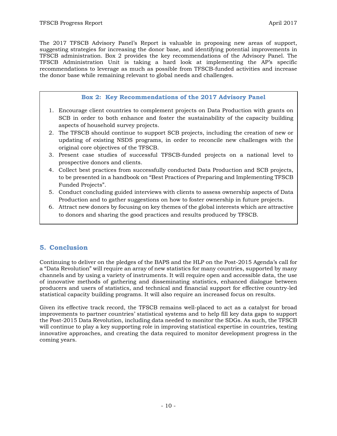The 2017 TFSCB Advisory Panel's Report is valuable in proposing new areas of support, suggesting strategies for increasing the donor base, and identifying potential improvements in TFSCB administration. Box 2 provides the key recommendations of the Advisory Panel. The TFSCB Administration Unit is taking a hard look at implementing the AP's specific recommendations to leverage as much as possible from TFSCB-funded activities and increase the donor base while remaining relevant to global needs and challenges.

#### **Box 2: Key Recommendations of the 2017 Advisory Panel**

- 1. Encourage client countries to complement projects on Data Production with grants on SCB in order to both enhance and foster the sustainability of the capacity building aspects of household survey projects.
- 2. The TFSCB should continue to support SCB projects, including the creation of new or updating of existing NSDS programs, in order to reconcile new challenges with the original core objectives of the TFSCB.
- 3. Present case studies of successful TFSCB-funded projects on a national level to prospective donors and clients.
- 4. Collect best practices from successfully conducted Data Production and SCB projects, to be presented in a handbook on "Best Practices of Preparing and Implementing TFSCB Funded Projects".
- 5. Conduct concluding guided interviews with clients to assess ownership aspects of Data Production and to gather suggestions on how to foster ownership in future projects.
- 6. Attract new donors by focusing on key themes of the global interests which are attractive to donors and sharing the good practices and results produced by TFSCB.

#### **5. Conclusion**

Continuing to deliver on the pledges of the BAPS and the HLP on the Post-2015 Agenda's call for a "Data Revolution" will require an array of new statistics for many countries, supported by many channels and by using a variety of instruments. It will require open and accessible data, the use of innovative methods of gathering and disseminating statistics, enhanced dialogue between producers and users of statistics, and technical and financial support for effective country-led statistical capacity building programs. It will also require an increased focus on results.

Given its effective track record, the TFSCB remains well-placed to act as a catalyst for broad improvements to partner countries' statistical systems and to help fill key data gaps to support the Post-2015 Data Revolution, including data needed to monitor the SDGs. As such, the TFSCB will continue to play a key supporting role in improving statistical expertise in countries, testing innovative approaches, and creating the data required to monitor development progress in the coming years.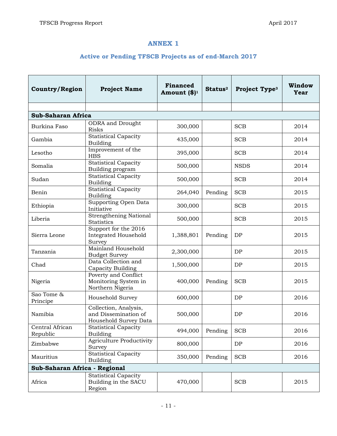## **ANNEX 1**

### **Active or Pending TFSCB Projects as of end-March 2017**

| <b>Country/Region</b>         | <b>Project Name</b>                                                    | <b>Financed</b><br>Amount $(\$)^1$ | Status <sup>2</sup> | Project Type <sup>3</sup> | Window<br>Year |  |  |
|-------------------------------|------------------------------------------------------------------------|------------------------------------|---------------------|---------------------------|----------------|--|--|
|                               |                                                                        |                                    |                     |                           |                |  |  |
| <b>Sub-Saharan Africa</b>     |                                                                        |                                    |                     |                           |                |  |  |
| Burkina Faso                  | <b>ODRA</b> and Drought<br><b>Risks</b>                                | 300,000                            |                     | <b>SCB</b>                | 2014           |  |  |
| Gambia                        | <b>Statistical Capacity</b><br>Building                                | 435,000                            |                     | <b>SCB</b>                | 2014           |  |  |
| Lesotho                       | Improvement of the<br><b>HBS</b>                                       | 395,000                            |                     | <b>SCB</b>                | 2014           |  |  |
| Somalia                       | <b>Statistical Capacity</b><br>Building program                        | 500,000                            |                     | <b>NSDS</b>               | 2014           |  |  |
| Sudan                         | <b>Statistical Capacity</b><br><b>Building</b>                         | 500,000                            |                     | <b>SCB</b>                | 2014           |  |  |
| Benin                         | <b>Statistical Capacity</b><br>Building                                | 264,040                            | Pending             | <b>SCB</b>                | 2015           |  |  |
| Ethiopia                      | Supporting Open Data<br>Initiative                                     | 300,000                            |                     | <b>SCB</b>                | 2015           |  |  |
| Liberia                       | Strengthening National<br><b>Statistics</b>                            | 500,000                            |                     | <b>SCB</b>                | 2015           |  |  |
| Sierra Leone                  | Support for the 2016<br><b>Integrated Household</b><br>Survey          | 1,388,801                          | Pending             | DP                        | 2015           |  |  |
| Tanzania                      | Mainland Household<br><b>Budget Survey</b>                             | 2,300,000                          |                     | DP                        | 2015           |  |  |
| Chad                          | Data Collection and<br>Capacity Building                               | 1,500,000                          |                     | DP                        | 2015           |  |  |
| Nigeria                       | Poverty and Conflict<br>Monitoring System in<br>Northern Nigeria       | 400,000                            | Pending             | <b>SCB</b>                | 2015           |  |  |
| Sao Tome &<br>Principe        | Household Survey                                                       | 600,000                            |                     | DP                        | 2016           |  |  |
| Namibia                       | Collection, Analysis,<br>and Dissemination of<br>Household Survey Data | 500,000                            |                     | DP                        | 2016           |  |  |
| Central African<br>Republic   | <b>Statistical Capacity</b><br><b>Building</b>                         | 494,000                            | Pending             | <b>SCB</b>                | 2016           |  |  |
| Zimbabwe                      | <b>Agriculture Productivity</b><br>Survey                              | 800,000                            |                     | DP                        | 2016           |  |  |
| Mauritius                     | <b>Statistical Capacity</b><br>Building                                | 350,000                            | Pending             | <b>SCB</b>                | 2016           |  |  |
| Sub-Saharan Africa - Regional |                                                                        |                                    |                     |                           |                |  |  |
| Africa                        | <b>Statistical Capacity</b><br>Building in the SACU<br>Region          | 470,000                            |                     | <b>SCB</b>                | 2015           |  |  |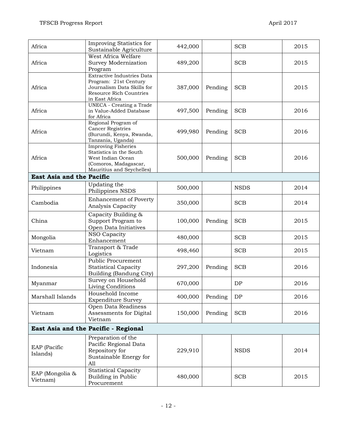| Africa                               | Improving Statistics for<br>Sustainable Agriculture        | 442,000 |         | <b>SCB</b>  | 2015 |  |
|--------------------------------------|------------------------------------------------------------|---------|---------|-------------|------|--|
|                                      | West Africa Welfare                                        |         |         |             |      |  |
| Africa                               | Survey Modernization                                       | 489,200 |         | <b>SCB</b>  | 2015 |  |
|                                      | Program                                                    |         |         |             |      |  |
|                                      | <b>Extractive Industries Data</b>                          |         |         |             |      |  |
|                                      | Program: 21st Century                                      |         |         |             |      |  |
| Africa                               | Journalism Data Skills for                                 | 387,000 | Pending | <b>SCB</b>  | 2015 |  |
|                                      | Resource Rich Countries                                    |         |         |             |      |  |
|                                      | in East Africa                                             |         |         |             |      |  |
| Africa                               | <b>UNECA</b> - Creating a Trade<br>in Value-Added Database | 497,500 | Pending | <b>SCB</b>  | 2016 |  |
|                                      | for Africa                                                 |         |         |             |      |  |
|                                      | Regional Program of                                        |         |         |             |      |  |
|                                      | <b>Cancer Registries</b>                                   |         |         |             |      |  |
| Africa                               | (Burundi, Kenya, Rwanda,                                   | 499,980 | Pending | <b>SCB</b>  | 2016 |  |
|                                      | Tanzania, Uganda)                                          |         |         |             |      |  |
|                                      | <b>Improving Fisheries</b>                                 |         |         |             |      |  |
| Africa                               | Statistics in the South                                    |         |         | <b>SCB</b>  | 2016 |  |
|                                      | West Indian Ocean<br>(Comoros, Madagascar,                 | 500,000 | Pending |             |      |  |
|                                      | Mauritius and Seychelles)                                  |         |         |             |      |  |
| <b>East Asia and the Pacific</b>     |                                                            |         |         |             |      |  |
|                                      | Updating the                                               |         |         |             |      |  |
| Philippines                          | Philippines NSDS                                           | 500,000 |         | <b>NSDS</b> | 2014 |  |
|                                      | <b>Enhancement of Poverty</b>                              |         |         |             |      |  |
| Cambodia                             | Analysis Capacity                                          | 350,000 |         | <b>SCB</b>  | 2014 |  |
|                                      |                                                            |         |         |             |      |  |
|                                      | Capacity Building &                                        |         |         |             |      |  |
| China                                | Support Program to                                         | 100,000 | Pending | <b>SCB</b>  | 2015 |  |
|                                      | Open Data Initiatives                                      |         |         |             |      |  |
| Mongolia                             | NSO Capacity<br>Enhancement                                | 480,000 |         | <b>SCB</b>  | 2015 |  |
|                                      | Transport & Trade                                          |         |         |             |      |  |
| Vietnam                              | Logistics                                                  | 498,460 |         | <b>SCB</b>  | 2015 |  |
|                                      | Public Procurement                                         |         |         |             |      |  |
| Indonesia                            | <b>Statistical Capacity</b>                                | 297,200 | Pending | <b>SCB</b>  | 2016 |  |
|                                      | Building (Bandung City)                                    |         |         |             |      |  |
|                                      | Survey on Household                                        |         |         |             |      |  |
| Myanmar                              | Living Conditions                                          | 670,000 |         | DP          | 2016 |  |
| Marshall Islands                     | Household Income                                           | 400,000 | Pending | DP          | 2016 |  |
|                                      | <b>Expenditure Survey</b>                                  |         |         |             |      |  |
|                                      | Open Data Readiness                                        |         |         |             |      |  |
| Vietnam                              | Assessments for Digital                                    | 150,000 | Pending | <b>SCB</b>  | 2016 |  |
|                                      | Vietnam                                                    |         |         |             |      |  |
| East Asia and the Pacific - Regional |                                                            |         |         |             |      |  |
|                                      | Preparation of the                                         |         |         |             |      |  |
|                                      | Pacific Regional Data                                      |         |         |             |      |  |
| EAP (Pacific                         | Repository for                                             | 229,910 |         | <b>NSDS</b> | 2014 |  |
| Islands)                             | Sustainable Energy for                                     |         |         |             |      |  |
|                                      | A11                                                        |         |         |             |      |  |
|                                      | <b>Statistical Capacity</b>                                |         |         |             |      |  |
| EAP (Mongolia &<br>Vietnam)          | Building in Public                                         | 480,000 |         | <b>SCB</b>  | 2015 |  |
|                                      | Procurement                                                |         |         |             |      |  |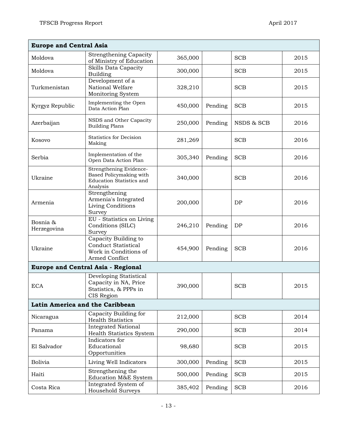| <b>Europe and Central Asia</b>  |                                                                                                   |         |         |            |      |  |
|---------------------------------|---------------------------------------------------------------------------------------------------|---------|---------|------------|------|--|
| Moldova                         | <b>Strengthening Capacity</b><br>of Ministry of Education                                         | 365,000 |         | <b>SCB</b> | 2015 |  |
| Moldova                         | Skills Data Capacity<br>Building                                                                  | 300,000 |         | <b>SCB</b> | 2015 |  |
| Turkmenistan                    | Development of a<br>National Welfare<br>Monitoring System                                         | 328,210 |         | <b>SCB</b> | 2015 |  |
| Kyrgyz Republic                 | Implementing the Open<br>Data Action Plan                                                         | 450,000 | Pending | <b>SCB</b> | 2015 |  |
| Azerbaijan                      | NSDS and Other Capacity<br><b>Building Plans</b>                                                  | 250,000 | Pending | NSDS & SCB | 2016 |  |
| Kosovo                          | <b>Statistics for Decision</b><br>Making                                                          | 281,269 |         | <b>SCB</b> | 2016 |  |
| Serbia                          | Implementation of the<br>Open Data Action Plan                                                    | 305,340 | Pending | <b>SCB</b> | 2016 |  |
| Ukraine                         | Strengthening Evidence-<br>Based Policymaking with<br><b>Education Statistics and</b><br>Analysis | 340,000 |         | <b>SCB</b> | 2016 |  |
| Armenia                         | Strengthening<br>Armenia's Integrated<br>Living Conditions<br>Survey                              | 200,000 |         | DP         | 2016 |  |
| Bosnia &<br>Herzegovina         | EU - Statistics on Living<br>Conditions (SILC)<br>Survey                                          | 246,210 | Pending | DP         | 2016 |  |
| Ukraine                         | Capacity Building to<br><b>Conduct Statistical</b><br>Work in Conditions of<br>Armed Conflict     | 454,900 | Pending | <b>SCB</b> | 2016 |  |
|                                 | <b>Europe and Central Asia - Regional</b>                                                         |         |         |            |      |  |
| <b>ECA</b>                      | Developing Statistical<br>Capacity in NA, Price<br>Statistics, & PPPs in<br>CIS Region            | 390,000 |         | <b>SCB</b> | 2015 |  |
| Latin America and the Caribbean |                                                                                                   |         |         |            |      |  |
| Nicaragua                       | Capacity Building for<br><b>Health Statistics</b>                                                 | 212,000 |         | <b>SCB</b> | 2014 |  |
| Panama                          | <b>Integrated National</b><br><b>Health Statistics System</b>                                     | 290,000 |         | <b>SCB</b> | 2014 |  |
| El Salvador                     | Indicators for<br>Educational<br>Opportunities                                                    | 98,680  |         | <b>SCB</b> | 2015 |  |
| <b>Bolivia</b>                  | Living Well Indicators                                                                            | 300,000 | Pending | <b>SCB</b> | 2015 |  |
| Haiti                           | Strengthening the<br>Education M&E System                                                         | 500,000 | Pending | <b>SCB</b> | 2015 |  |
| Costa Rica                      | Integrated System of<br>Household Surveys                                                         | 385,402 | Pending | <b>SCB</b> | 2016 |  |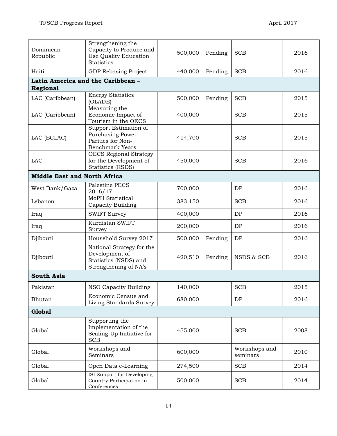| Dominican<br>Republic                         | Strengthening the<br>Capacity to Produce and<br>Use Quality Education<br><b>Statistics</b>    | 500,000 | Pending | <b>SCB</b>                | 2016 |  |  |
|-----------------------------------------------|-----------------------------------------------------------------------------------------------|---------|---------|---------------------------|------|--|--|
| Haiti                                         | GDP Rebasing Project                                                                          | 440,000 | Pending | <b>SCB</b>                | 2016 |  |  |
| Latin America and the Caribbean -<br>Regional |                                                                                               |         |         |                           |      |  |  |
|                                               | <b>Energy Statistics</b>                                                                      |         |         |                           |      |  |  |
| LAC (Caribbean)                               | (OLADE)                                                                                       | 500,000 | Pending | <b>SCB</b>                | 2015 |  |  |
| LAC (Caribbean)                               | Measuring the<br>Economic Impact of<br>Tourism in the OECS                                    | 400,000 |         | <b>SCB</b>                | 2015 |  |  |
| LAC (ECLAC)                                   | Support Estimation of<br>Purchasing Power<br>Parities for Non-<br><b>Benchmark Years</b>      | 414,700 |         | <b>SCB</b>                | 2015 |  |  |
| LAC                                           | <b>OECS</b> Regional Strategy<br>for the Development of<br><b>Statistics (RSDS)</b>           | 450,000 |         | <b>SCB</b>                | 2016 |  |  |
| <b>Middle East and North Africa</b>           |                                                                                               |         |         |                           |      |  |  |
| West Bank/Gaza                                | Palestine PECS<br>2016/17                                                                     | 700,000 |         | DP                        | 2016 |  |  |
| Lebanon                                       | <b>MoPH</b> Statistical<br>Capacity Building                                                  | 383,150 |         | <b>SCB</b>                | 2016 |  |  |
| Iraq                                          | <b>SWIFT Survey</b>                                                                           | 400,000 |         | DP                        | 2016 |  |  |
| Iraq                                          | Kurdistan SWIFT<br>Survey                                                                     | 200,000 |         | DP                        | 2016 |  |  |
| Djibouti                                      | Household Survey 2017                                                                         | 500,000 | Pending | DP                        | 2016 |  |  |
| Djibouti                                      | National Strategy for the<br>Development of<br>Statistics (NSDS) and<br>Strengthening of NA's | 420,510 | Pending | NSDS & SCB                | 2016 |  |  |
| <b>South Asia</b>                             |                                                                                               |         |         |                           |      |  |  |
| Pakistan                                      | NSO Capacity Building                                                                         | 140,000 |         | SCB                       | 2015 |  |  |
| Bhutan                                        | Economic Census and<br>Living Standards Survey                                                | 680,000 |         | DP                        | 2016 |  |  |
| <b>Global</b>                                 |                                                                                               |         |         |                           |      |  |  |
| Global                                        | Supporting the<br>Implementation of the<br>Scaling-Up Initiative for<br><b>SCB</b>            | 455,000 |         | <b>SCB</b>                | 2008 |  |  |
| Global                                        | Workshops and<br>Seminars                                                                     | 600,000 |         | Workshops and<br>seminars | 2010 |  |  |
| Global                                        | Open Data e-Learning                                                                          | 274,500 |         | <b>SCB</b>                | 2014 |  |  |
| Global                                        | <b>ISI Support for Developing</b><br>Country Participation in<br>Conferences                  | 500,000 |         | <b>SCB</b>                | 2014 |  |  |